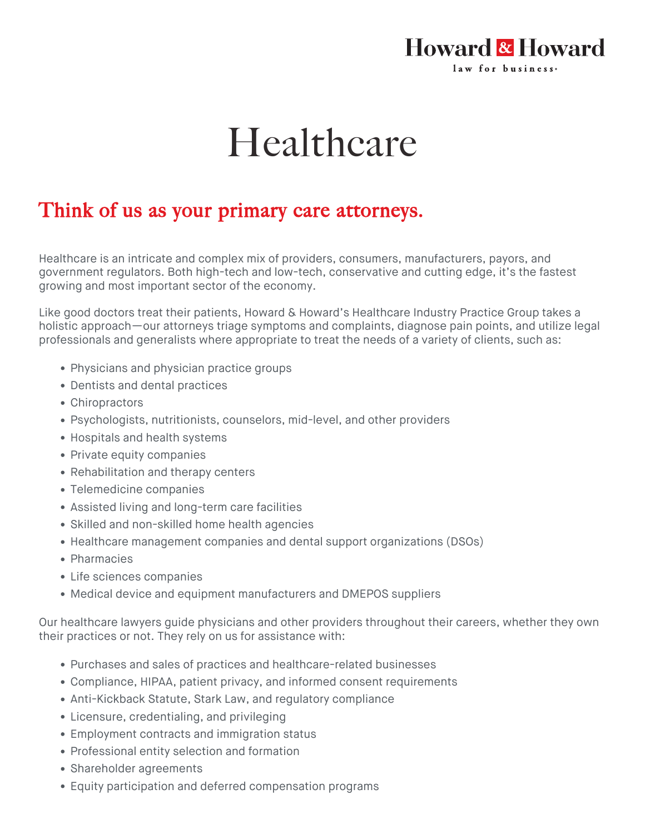## **Howard & Howard** law for business.

## Healthcare

## Think of us as your primary care attorneys.

Healthcare is an intricate and complex mix of providers, consumers, manufacturers, payors, and government regulators. Both high-tech and low-tech, conservative and cutting edge, it's the fastest growing and most important sector of the economy.

Like good doctors treat their patients, Howard & Howard's Healthcare Industry Practice Group takes a holistic approach—our attorneys triage symptoms and complaints, diagnose pain points, and utilize legal professionals and generalists where appropriate to treat the needs of a variety of clients, such as:

- Physicians and physician practice groups
- Dentists and dental practices
- Chiropractors
- Psychologists, nutritionists, counselors, mid-level, and other providers
- Hospitals and health systems
- Private equity companies
- Rehabilitation and therapy centers
- Telemedicine companies
- Assisted living and long-term care facilities
- Skilled and non-skilled home health agencies
- Healthcare management companies and dental support organizations (DSOs)
- Pharmacies
- Life sciences companies
- Medical device and equipment manufacturers and DMEPOS suppliers

Our healthcare lawyers guide physicians and other providers throughout their careers, whether they own their practices or not. They rely on us for assistance with:

- Purchases and sales of practices and healthcare-related businesses
- Compliance, HIPAA, patient privacy, and informed consent requirements
- Anti-Kickback Statute, Stark Law, and regulatory compliance
- Licensure, credentialing, and privileging
- Employment contracts and immigration status
- Professional entity selection and formation
- Shareholder agreements
- Equity participation and deferred compensation programs